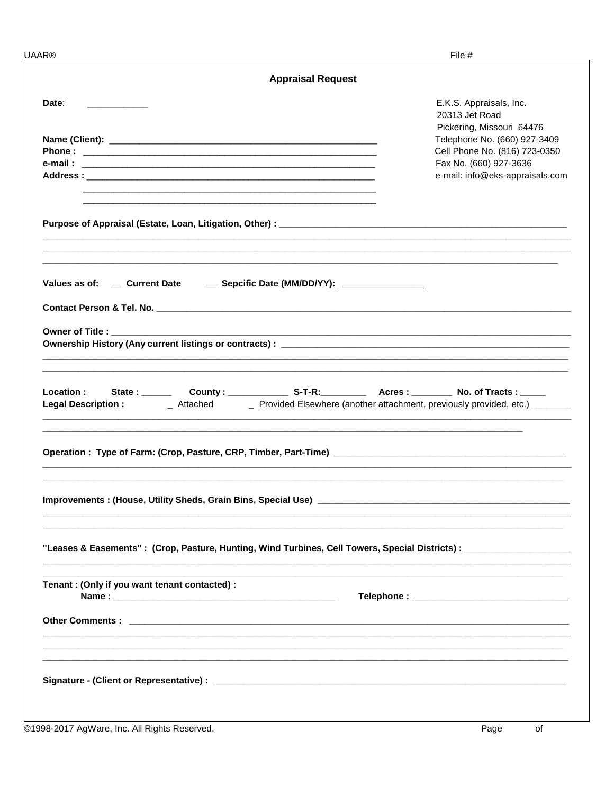| JAAR®                                                                                                                                                                                        | File #                                                                                                                                                                                               |
|----------------------------------------------------------------------------------------------------------------------------------------------------------------------------------------------|------------------------------------------------------------------------------------------------------------------------------------------------------------------------------------------------------|
| <b>Appraisal Request</b>                                                                                                                                                                     |                                                                                                                                                                                                      |
| Date:<br><u> 1980 - Jan Stein Stein Stein Stein Stein Stein Stein Stein Stein Stein Stein Stein Stein Stein Stein Stein S</u><br><u> 1989 - Johann Stoff, amerikansk politiker (d. 1989)</u> | E.K.S. Appraisals, Inc.<br>20313 Jet Road<br>Pickering, Missouri 64476<br>Telephone No. (660) 927-3409<br>Cell Phone No. (816) 723-0350<br>Fax No. (660) 927-3636<br>e-mail: info@eks-appraisals.com |
|                                                                                                                                                                                              |                                                                                                                                                                                                      |
| Values as of: ___ Current Date _____ Sepcific Date (MM/DD/YY):__________________                                                                                                             |                                                                                                                                                                                                      |
| Owner of Title : ___________                                                                                                                                                                 |                                                                                                                                                                                                      |
| Location :<br><b>Legal Description:</b>                                                                                                                                                      | _ Attached _______ Provided Elsewhere (another attachment, previously provided, etc.) ________                                                                                                       |
|                                                                                                                                                                                              |                                                                                                                                                                                                      |
|                                                                                                                                                                                              |                                                                                                                                                                                                      |
| "Leases & Easements": (Crop, Pasture, Hunting, Wind Turbines, Cell Towers, Special Districts): [100]                                                                                         |                                                                                                                                                                                                      |
| Tenant: (Only if you want tenant contacted) :                                                                                                                                                |                                                                                                                                                                                                      |
|                                                                                                                                                                                              |                                                                                                                                                                                                      |
|                                                                                                                                                                                              |                                                                                                                                                                                                      |
| MARIA 2017 AgMaro, Inc. All Pights Posserved                                                                                                                                                 | $D_{200}$ of                                                                                                                                                                                         |